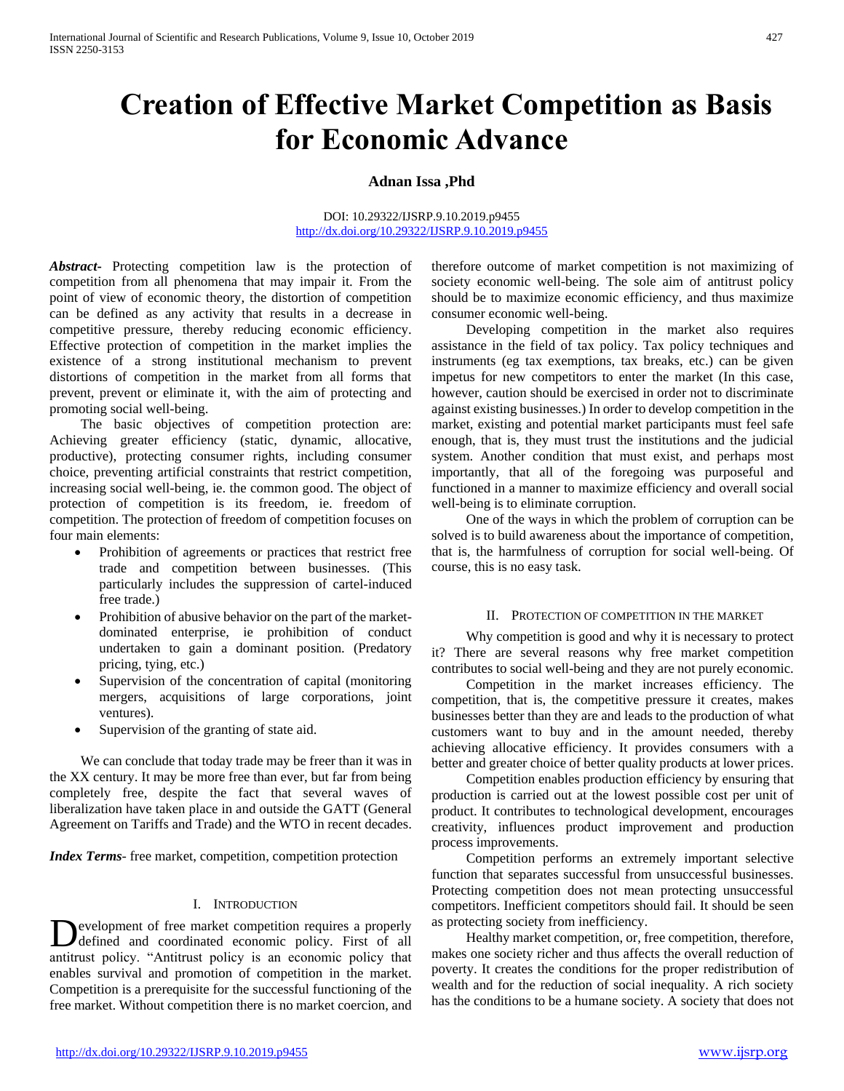# **Creation of Effective Market Competition as Basis for Economic Advance**

## **Adnan Issa ,Phd**

#### DOI: 10.29322/IJSRP.9.10.2019.p9455 <http://dx.doi.org/10.29322/IJSRP.9.10.2019.p9455>

*Abstract***-** Protecting competition law is the protection of competition from all phenomena that may impair it. From the point of view of economic theory, the distortion of competition can be defined as any activity that results in a decrease in competitive pressure, thereby reducing economic efficiency. Effective protection of competition in the market implies the existence of a strong institutional mechanism to prevent distortions of competition in the market from all forms that prevent, prevent or eliminate it, with the aim of protecting and promoting social well-being.

 The basic objectives of competition protection are: Achieving greater efficiency (static, dynamic, allocative, productive), protecting consumer rights, including consumer choice, preventing artificial constraints that restrict competition, increasing social well-being, ie. the common good. The object of protection of competition is its freedom, ie. freedom of competition. The protection of freedom of competition focuses on four main elements:

- Prohibition of agreements or practices that restrict free trade and competition between businesses. (This particularly includes the suppression of cartel-induced free trade.)
- Prohibition of abusive behavior on the part of the marketdominated enterprise, ie prohibition of conduct undertaken to gain a dominant position. (Predatory pricing, tying, etc.)
- Supervision of the concentration of capital (monitoring mergers, acquisitions of large corporations, joint ventures).
- Supervision of the granting of state aid.

 We can conclude that today trade may be freer than it was in the XX century. It may be more free than ever, but far from being completely free, despite the fact that several waves of liberalization have taken place in and outside the GATT (General Agreement on Tariffs and Trade) and the WTO in recent decades.

*Index Terms*- free market, competition, competition protection

#### I. INTRODUCTION

evelopment of free market competition requires a properly defined and coordinated economic policy. First of all Development of free market competition requires a properly defined and coordinated economic policy. First of all antitrust policy. "Antitrust policy is an economic policy that enables survival and promotion of competition in the market. Competition is a prerequisite for the successful functioning of the free market. Without competition there is no market coercion, and

therefore outcome of market competition is not maximizing of society economic well-being. The sole aim of antitrust policy should be to maximize economic efficiency, and thus maximize consumer economic well-being.

 Developing competition in the market also requires assistance in the field of tax policy. Tax policy techniques and instruments (eg tax exemptions, tax breaks, etc.) can be given impetus for new competitors to enter the market (In this case, however, caution should be exercised in order not to discriminate against existing businesses.) In order to develop competition in the market, existing and potential market participants must feel safe enough, that is, they must trust the institutions and the judicial system. Another condition that must exist, and perhaps most importantly, that all of the foregoing was purposeful and functioned in a manner to maximize efficiency and overall social well-being is to eliminate corruption.

 One of the ways in which the problem of corruption can be solved is to build awareness about the importance of competition, that is, the harmfulness of corruption for social well-being. Of course, this is no easy task.

#### II. PROTECTION OF COMPETITION IN THE MARKET

 Why competition is good and why it is necessary to protect it? There are several reasons why free market competition contributes to social well-being and they are not purely economic.

 Competition in the market increases efficiency. The competition, that is, the competitive pressure it creates, makes businesses better than they are and leads to the production of what customers want to buy and in the amount needed, thereby achieving allocative efficiency. It provides consumers with a better and greater choice of better quality products at lower prices.

 Competition enables production efficiency by ensuring that production is carried out at the lowest possible cost per unit of product. It contributes to technological development, encourages creativity, influences product improvement and production process improvements.

 Competition performs an extremely important selective function that separates successful from unsuccessful businesses. Protecting competition does not mean protecting unsuccessful competitors. Inefficient competitors should fail. It should be seen as protecting society from inefficiency.

 Healthy market competition, or, free competition, therefore, makes one society richer and thus affects the overall reduction of poverty. It creates the conditions for the proper redistribution of wealth and for the reduction of social inequality. A rich society has the conditions to be a humane society. A society that does not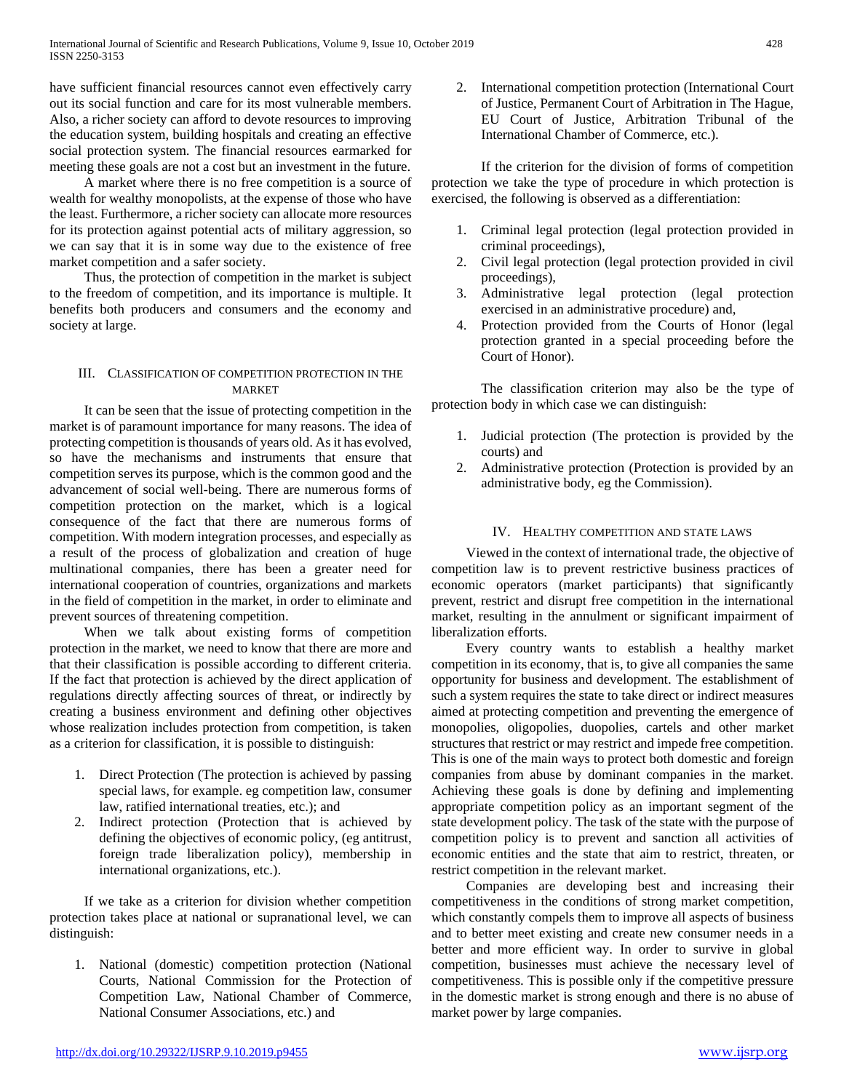have sufficient financial resources cannot even effectively carry out its social function and care for its most vulnerable members. Also, a richer society can afford to devote resources to improving the education system, building hospitals and creating an effective social protection system. The financial resources earmarked for meeting these goals are not a cost but an investment in the future.

 A market where there is no free competition is a source of wealth for wealthy monopolists, at the expense of those who have the least. Furthermore, a richer society can allocate more resources for its protection against potential acts of military aggression, so we can say that it is in some way due to the existence of free market competition and a safer society.

 Thus, the protection of competition in the market is subject to the freedom of competition, and its importance is multiple. It benefits both producers and consumers and the economy and society at large.

## III. CLASSIFICATION OF COMPETITION PROTECTION IN THE MARKET

 It can be seen that the issue of protecting competition in the market is of paramount importance for many reasons. The idea of protecting competition is thousands of years old. As it has evolved, so have the mechanisms and instruments that ensure that competition serves its purpose, which is the common good and the advancement of social well-being. There are numerous forms of competition protection on the market, which is a logical consequence of the fact that there are numerous forms of competition. With modern integration processes, and especially as a result of the process of globalization and creation of huge multinational companies, there has been a greater need for international cooperation of countries, organizations and markets in the field of competition in the market, in order to eliminate and prevent sources of threatening competition.

 When we talk about existing forms of competition protection in the market, we need to know that there are more and that their classification is possible according to different criteria. If the fact that protection is achieved by the direct application of regulations directly affecting sources of threat, or indirectly by creating a business environment and defining other objectives whose realization includes protection from competition, is taken as a criterion for classification, it is possible to distinguish:

- 1. Direct Protection (The protection is achieved by passing special laws, for example. eg competition law, consumer law, ratified international treaties, etc.); and
- 2. Indirect protection (Protection that is achieved by defining the objectives of economic policy, (eg antitrust, foreign trade liberalization policy), membership in international organizations, etc.).

 If we take as a criterion for division whether competition protection takes place at national or supranational level, we can distinguish:

1. National (domestic) competition protection (National Courts, National Commission for the Protection of Competition Law, National Chamber of Commerce, National Consumer Associations, etc.) and

2. International competition protection (International Court of Justice, Permanent Court of Arbitration in The Hague, EU Court of Justice, Arbitration Tribunal of the International Chamber of Commerce, etc.).

If the criterion for the division of forms of competition protection we take the type of procedure in which protection is exercised, the following is observed as a differentiation:

- 1. Criminal legal protection (legal protection provided in criminal proceedings),
- 2. Civil legal protection (legal protection provided in civil proceedings),
- 3. Administrative legal protection (legal protection exercised in an administrative procedure) and,
- 4. Protection provided from the Courts of Honor (legal protection granted in a special proceeding before the Court of Honor).

The classification criterion may also be the type of protection body in which case we can distinguish:

- 1. Judicial protection (The protection is provided by the courts) and
- 2. Administrative protection (Protection is provided by an administrative body, eg the Commission).

### IV. HEALTHY COMPETITION AND STATE LAWS

 Viewed in the context of international trade, the objective of competition law is to prevent restrictive business practices of economic operators (market participants) that significantly prevent, restrict and disrupt free competition in the international market, resulting in the annulment or significant impairment of liberalization efforts.

 Every country wants to establish a healthy market competition in its economy, that is, to give all companies the same opportunity for business and development. The establishment of such a system requires the state to take direct or indirect measures aimed at protecting competition and preventing the emergence of monopolies, oligopolies, duopolies, cartels and other market structures that restrict or may restrict and impede free competition. This is one of the main ways to protect both domestic and foreign companies from abuse by dominant companies in the market. Achieving these goals is done by defining and implementing appropriate competition policy as an important segment of the state development policy. The task of the state with the purpose of competition policy is to prevent and sanction all activities of economic entities and the state that aim to restrict, threaten, or restrict competition in the relevant market.

 Companies are developing best and increasing their competitiveness in the conditions of strong market competition, which constantly compels them to improve all aspects of business and to better meet existing and create new consumer needs in a better and more efficient way. In order to survive in global competition, businesses must achieve the necessary level of competitiveness. This is possible only if the competitive pressure in the domestic market is strong enough and there is no abuse of market power by large companies.